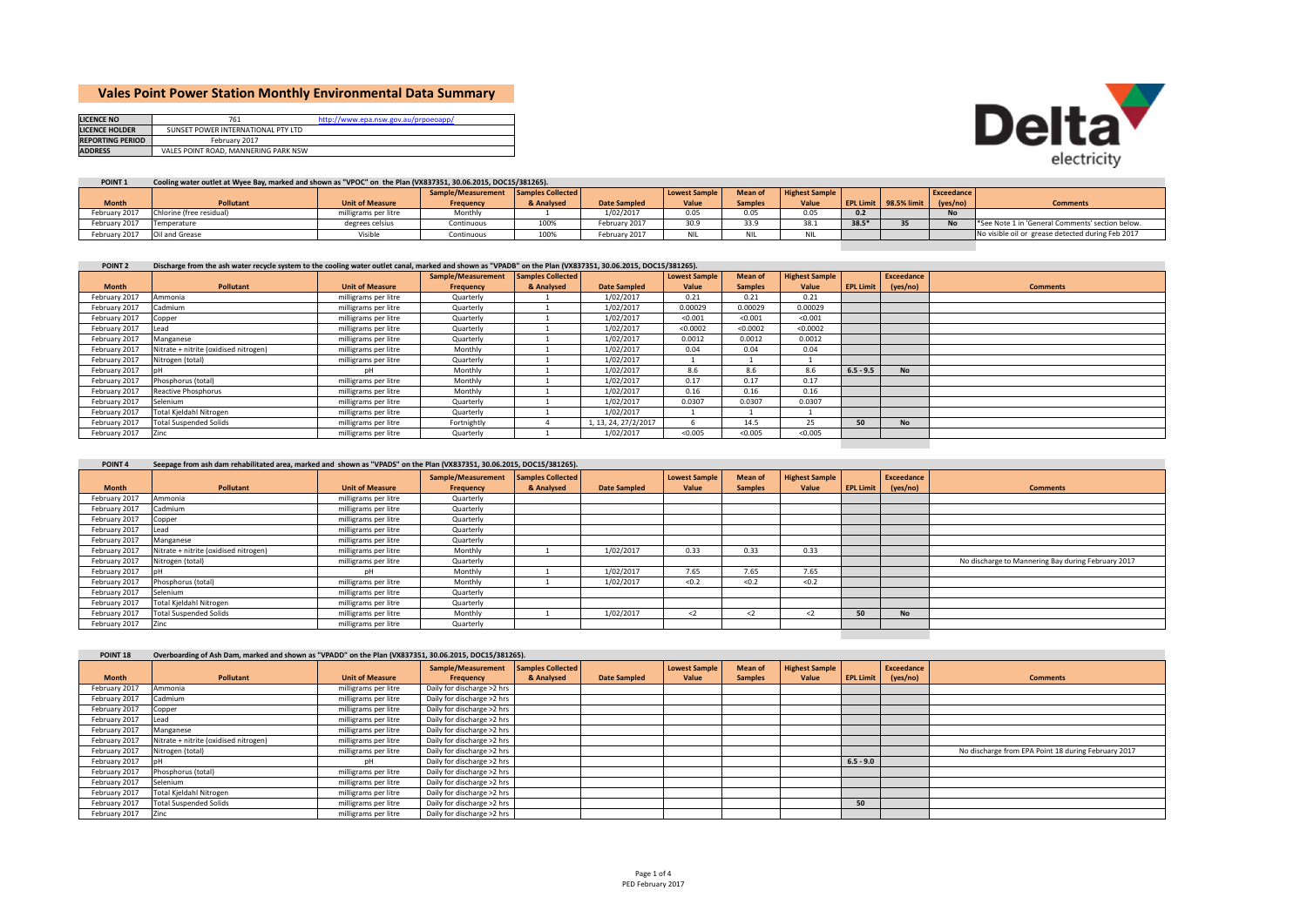# **Vales Point Power Station Monthly Environmental Data Summary**

| <b>LICENCE NO</b>       | 761                                  | http://www.epa.nsw.gov.au/prpoeoapp/ |
|-------------------------|--------------------------------------|--------------------------------------|
| <b>LICENCE HOLDER</b>   | SUNSET POWER INTERNATIONAL PTY LTD   |                                      |
| <b>REPORTING PERIOD</b> | February 2017                        |                                      |
| <b>ADDRESS</b>          | VALES POINT ROAD, MANNERING PARK NSW |                                      |



## POINT 1 Cooling water outlet at Wyee Bay, marked and shown as "VPOC" on the Plan (VX837351, 30.06.2015, DOC15/381265).

|                              |                          |                        | Sample/Measurement Samples Collected |            |                     | <b>Lowest Sample</b> | <b>Mean of</b> | <b>Highest Sample</b> |         |                              | <b>Exceedance</b> |                                                   |
|------------------------------|--------------------------|------------------------|--------------------------------------|------------|---------------------|----------------------|----------------|-----------------------|---------|------------------------------|-------------------|---------------------------------------------------|
| <b>Month</b>                 | <b>Pollutant</b>         | <b>Unit of Measure</b> | <b>Frequency</b>                     | & Analysed | <b>Date Sampled</b> | Value                | <b>Samples</b> | Value                 |         | <b>EPL Limit 98.5% limit</b> | (yes/no)          | <b>Comments</b>                                   |
| February 2017                | Chlorine (free residual) | milligrams per litre   | Monthly                              |            | 1/02/2017           | 0.05                 | 0.05           | 0.05                  |         |                              | <b>No</b>         |                                                   |
| February 2017                | Temperature              | degrees celsius        | Continuous                           | 100%       | February 2017       | 30.9                 | 33.9           | 38.1                  | $38.5*$ |                              |                   | See Note 1 in 'General Comments' section below.   |
| February 2017 Oil and Grease |                          | Visible                | Continuous                           | 100%       | February 2017       |                      |                | <b>NIL</b>            |         |                              |                   | No visible oil or grease detected during Feb 2017 |

#### POINT 2 Discharge from the ash water recycle system to the cooling water outlet canal, marked and shown as "VPADB" on the Plan (VX837351, 30.06.2015, DOC15/381265).

|               |                                       |                        | Sample/Measurement | Samples Collected |                      | <b>Lowest Sample</b> | <b>Mean of</b> | <b>Highest Sample</b> |                  | Exceedance |                 |
|---------------|---------------------------------------|------------------------|--------------------|-------------------|----------------------|----------------------|----------------|-----------------------|------------------|------------|-----------------|
| <b>Month</b>  | <b>Pollutant</b>                      | <b>Unit of Measure</b> | Frequency          | & Analysed        | <b>Date Sampled</b>  | Value                | <b>Samples</b> | Value                 | <b>EPL Limit</b> | (yes/no)   | <b>Comments</b> |
| February 2017 | Ammonia                               | milligrams per litre   | Quarterly          |                   | 1/02/2017            | 0.21                 | 0.21           | 0.21                  |                  |            |                 |
| February 2017 | Cadmium                               | milligrams per litre   | Quarterly          |                   | 1/02/2017            | 0.00029              | 0.00029        | 0.00029               |                  |            |                 |
| February 2017 | Copper                                | milligrams per litre   | Quarterly          |                   | 1/02/2017            | < 0.001              | < 0.001        | < 0.001               |                  |            |                 |
| February 2017 | ead                                   | milligrams per litre   | Quarterly          |                   | 1/02/2017            | < 0.0002             | < 0.0002       | < 0.0002              |                  |            |                 |
| February 2017 | Manganese                             | milligrams per litre   | Quarterly          |                   | 1/02/2017            | 0.0012               | 0.0012         | 0.0012                |                  |            |                 |
| February 2017 | Nitrate + nitrite (oxidised nitrogen) | milligrams per litre   | Monthly            |                   | 1/02/2017            | 0.04                 | 0.04           | 0.04                  |                  |            |                 |
| February 2017 | Nitrogen (total)                      | milligrams per litre   | Quarterly          |                   | 1/02/2017            |                      |                |                       |                  |            |                 |
| February 2017 |                                       | nН                     | Monthly            |                   | 1/02/2017            | 8.6                  | 8.6            | 8.6                   | $6.5 - 9.5$      | <b>No</b>  |                 |
| February 2017 | Phosphorus (total)                    | milligrams per litre   | Monthly            |                   | 1/02/2017            | 0.17                 | 0.17           | 0.17                  |                  |            |                 |
| February 2017 | Reactive Phosphorus                   | milligrams per litre   | Monthly            |                   | 1/02/2017            | 0.16                 | 0.16           | 0.16                  |                  |            |                 |
| February 2017 | Selenium                              | milligrams per litre   | Quarterly          |                   | 1/02/2017            | 0.0307               | 0.0307         | 0.0307                |                  |            |                 |
| February 2017 | Total Kjeldahl Nitrogen               | milligrams per litre   | Quarterly          |                   | 1/02/2017            |                      |                |                       |                  |            |                 |
| February 2017 | <b>Total Suspended Solids</b>         | milligrams per litre   | Fortnightly        |                   | 1, 13, 24, 27/2/2017 | b                    | 14.5           | 25                    | 50               | <b>No</b>  |                 |
| February 2017 | Zinc                                  | milligrams per litre   | Quarterly          |                   | 1/02/2017            | < 0.005              | < 0.005        | < 0.005               |                  |            |                 |
|               |                                       |                        |                    |                   |                      |                      |                |                       |                  |            |                 |

# POINT 4 Seepage from ash dam rehabilitated area, marked and shown as "VPADS" on the Plan (VX837351, 30.06.2015, DOC15/381265).

|               |                                       |                        | Sample/Measurement | <b>Samples Collected</b> |                     | <b>Lowest Sample</b> | Mean of        | <b>Highest Sample</b> |           | Exceedance |                                                    |
|---------------|---------------------------------------|------------------------|--------------------|--------------------------|---------------------|----------------------|----------------|-----------------------|-----------|------------|----------------------------------------------------|
| <b>Month</b>  | Pollutant                             | <b>Unit of Measure</b> | Frequency          | & Analysed               | <b>Date Sampled</b> | Value                | <b>Samples</b> | Value                 | EPL Limit | (yes/no)   | <b>Comments</b>                                    |
| February 2017 | Ammonia                               | milligrams per litre   | Quarterly          |                          |                     |                      |                |                       |           |            |                                                    |
| February 2017 | Cadmium                               | milligrams per litre   | Quarterly          |                          |                     |                      |                |                       |           |            |                                                    |
| February 2017 | Copper                                | milligrams per litre   | Quarterly          |                          |                     |                      |                |                       |           |            |                                                    |
| February 2017 | ead                                   | milligrams per litre   | Quarterly          |                          |                     |                      |                |                       |           |            |                                                    |
| February 2017 | Manganese                             | milligrams per litre   | Quarterly          |                          |                     |                      |                |                       |           |            |                                                    |
| February 2017 | Nitrate + nitrite (oxidised nitrogen) | milligrams per litre   | Monthly            |                          | 1/02/2017           | 0.33                 | 0.33           | 0.33                  |           |            |                                                    |
| February 2017 | Nitrogen (total)                      | milligrams per litre   | Quarterly          |                          |                     |                      |                |                       |           |            | No discharge to Mannering Bay during February 2017 |
| February 2017 |                                       | nН                     | Monthly            |                          | 1/02/2017           | 7.65                 | 7.65           | 7.65                  |           |            |                                                    |
| February 2017 | Phosphorus (total)                    | milligrams per litre   | Monthly            |                          | 1/02/2017           | < 0.2                | < 0.2          | < 0.2                 |           |            |                                                    |
| February 2017 | Selenium                              | milligrams per litre   | Quarterly          |                          |                     |                      |                |                       |           |            |                                                    |
| February 2017 | Total Kjeldahl Nitrogen               | milligrams per litre   | Quarterly          |                          |                     |                      |                |                       |           |            |                                                    |
| February 2017 | <b>Total Suspended Solids</b>         | milligrams per litre   | Monthly            |                          | 1/02/2017           | $2$                  | $\leq$         | $\langle$ 2           | 50        | <b>No</b>  |                                                    |
| February 2017 |                                       | milligrams per litre   | Quarterly          |                          |                     |                      |                |                       |           |            |                                                    |

#### POINT 18 Overboarding of Ash Dam. marked and shown as "VPADD" on the Plan (VX837351, 30.06.2015, DOC15/381265). **Month Pollutant Unit of Measure Sample/Measurement Frequency Samples Collected & Analysed Date Sampled Lowest Sample Value Mean of Samples Highest Sample**  $Value$ **LPL** Limit **Exceedance (yes/no)** February 2017 Ammonia milligrams per litre Daily for discharge >2 hrs February 2017 Cadmium milligrams per litre Daily for discharge >2 hrs February 2017 Copper milligrams per litre Daily for discharge >2 hrs February 2017 Lead milligrams per litre Daily for discharge >2 hrs February 2017 Manganese milligrams per litre Daily for discharge >2 hrs February 2017 Nitrate + nitrite (oxidised nitrogen) milligrams per litre Daily for discharge >2 hrs February 2017 Nitrogen (total) milligrams per litre Daily for discharge >2 hrs **Experimental physics 6.5 - 9.0**<br> **Baily for discharge >2 hrs 6.5 1.0 and Daily for discharge >2 hrs 6.5 1.0 6.5 1.0 6.5 1.0 6.5 1.0 6.5 1.0 6.5 1.0 6.5 1.0 6.5 1.0 6.5 1.0 6** February 2017 Phosphorus (total) milligrams per litre Daily for discharge >2 hrs February 2017 Selenium milligrams per litre Daily for discharge >2 hrs February 2017 Total Kjeldahl Nitrogen milligrams per litre Daily for discharge >2 hrs February 2017 Total Suspended Solids milligrams per litre Daily for discharge >2 hrs **50** February 2017 Zinc milligrams per litre Daily for discharge >2 hrs **Comments**No discharge from EPA Point 18 during February 2017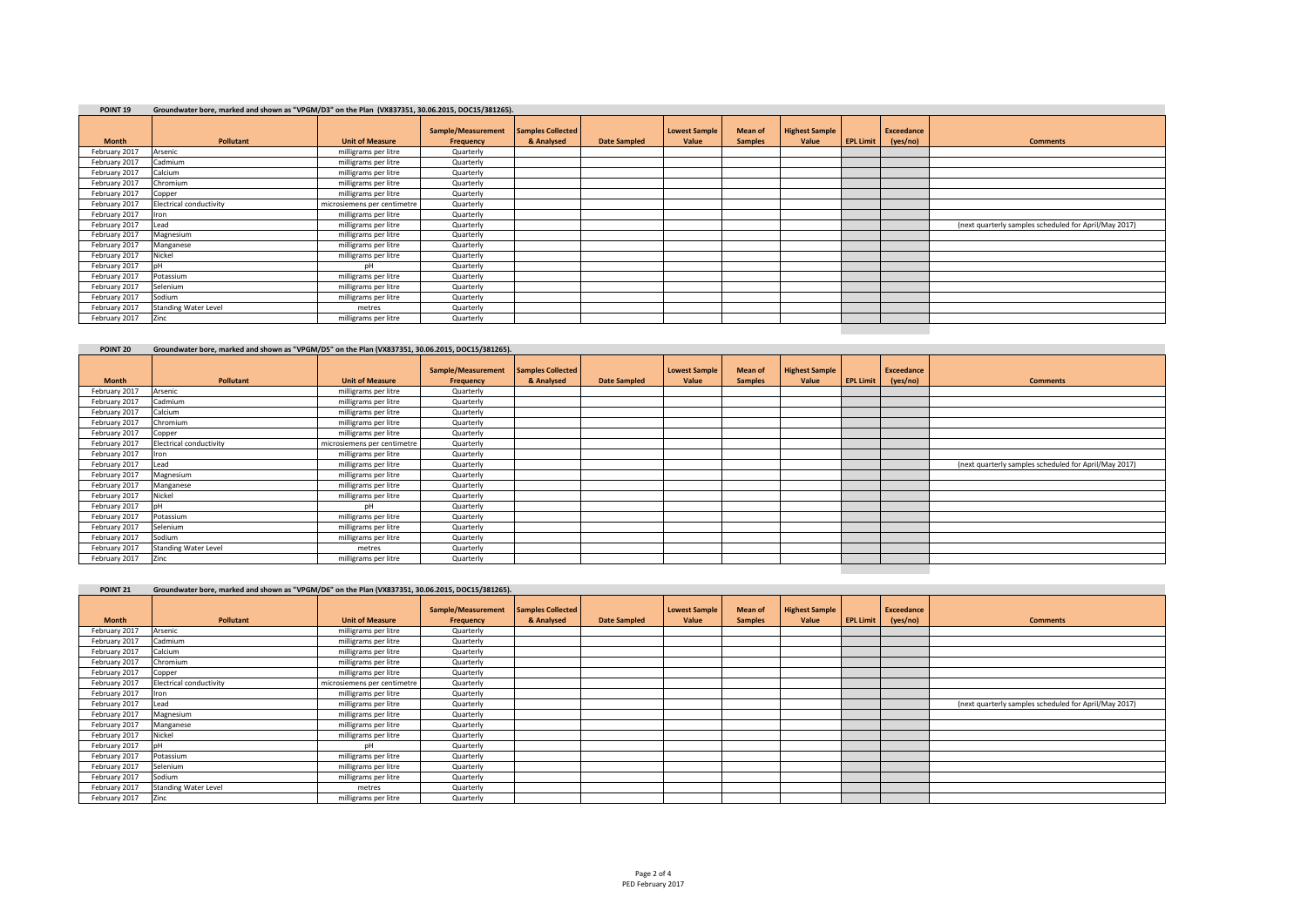# **POINT 19 Groundwater bore, marked and shown as "VPGM/D3" on the Plan (VX837351, 30.06.2015, DOC15/381265).**

| <b>Month</b>  | Pollutant                   | <b>Unit of Measure</b>      | Sample/Measurement<br>Frequency | Samples Collected<br>& Analysed | <b>Date Sampled</b> | <b>Lowest Sample</b><br>Value | <b>Mean of</b><br><b>Samples</b> | <b>Highest Sample</b><br>Value | <b>EPL Limit</b> | Exceedance<br>(yes/no) | <b>Comments</b>                                       |
|---------------|-----------------------------|-----------------------------|---------------------------------|---------------------------------|---------------------|-------------------------------|----------------------------------|--------------------------------|------------------|------------------------|-------------------------------------------------------|
| February 2017 | Arsenic                     | milligrams per litre        | Quarterly                       |                                 |                     |                               |                                  |                                |                  |                        |                                                       |
| February 2017 | Cadmium                     | milligrams per litre        | Quarterly                       |                                 |                     |                               |                                  |                                |                  |                        |                                                       |
| February 2017 | Calcium                     | milligrams per litre        | Quarterly                       |                                 |                     |                               |                                  |                                |                  |                        |                                                       |
| February 2017 | Chromium                    | milligrams per litre        | Quarterly                       |                                 |                     |                               |                                  |                                |                  |                        |                                                       |
| February 2017 | Copper                      | milligrams per litre        | Quarterly                       |                                 |                     |                               |                                  |                                |                  |                        |                                                       |
| February 2017 | Electrical conductivity     | microsiemens per centimetre | Quarterly                       |                                 |                     |                               |                                  |                                |                  |                        |                                                       |
| February 2017 | Iron                        | milligrams per litre        | Quarterly                       |                                 |                     |                               |                                  |                                |                  |                        |                                                       |
| February 2017 | Lead                        | milligrams per litre        | Quarterly                       |                                 |                     |                               |                                  |                                |                  |                        | (next quarterly samples scheduled for April/May 2017) |
| February 2017 | Magnesium                   | milligrams per litre        | Quarterly                       |                                 |                     |                               |                                  |                                |                  |                        |                                                       |
| February 2017 | Manganese                   | milligrams per litre        | Quarterly                       |                                 |                     |                               |                                  |                                |                  |                        |                                                       |
| February 2017 | Nickel                      | milligrams per litre        | Quarterly                       |                                 |                     |                               |                                  |                                |                  |                        |                                                       |
| February 2017 | nН                          | pН                          | Quarterly                       |                                 |                     |                               |                                  |                                |                  |                        |                                                       |
| February 2017 | Potassium                   | milligrams per litre        | Quarterly                       |                                 |                     |                               |                                  |                                |                  |                        |                                                       |
| February 2017 | Selenium                    | milligrams per litre        | Quarterly                       |                                 |                     |                               |                                  |                                |                  |                        |                                                       |
| February 2017 | Sodium                      | milligrams per litre        | Quarterly                       |                                 |                     |                               |                                  |                                |                  |                        |                                                       |
| February 2017 | <b>Standing Water Level</b> | metres                      | Quarterly                       |                                 |                     |                               |                                  |                                |                  |                        |                                                       |
| February 2017 | Zinc                        | milligrams per litre        | Quarterly                       |                                 |                     |                               |                                  |                                |                  |                        |                                                       |
|               |                             |                             |                                 |                                 |                     |                               |                                  |                                |                  |                        |                                                       |

| POINT <sub>20</sub> | Groundwater bore, marked and shown as "VPGM/D5" on the Plan (VX837351, 30.06.2015, DOC15/381265). |                             |                                 |                                 |                     |                               |                           |                                |                  |                        |                                                       |
|---------------------|---------------------------------------------------------------------------------------------------|-----------------------------|---------------------------------|---------------------------------|---------------------|-------------------------------|---------------------------|--------------------------------|------------------|------------------------|-------------------------------------------------------|
| <b>Month</b>        | Pollutant                                                                                         | <b>Unit of Measure</b>      | Sample/Measurement<br>Frequency | Samples Collected<br>& Analysed | <b>Date Sampled</b> | <b>Lowest Sample</b><br>Value | Mean of<br><b>Samples</b> | <b>Highest Sample</b><br>Value | <b>EPL Limit</b> | Exceedance<br>(yes/no) | <b>Comments</b>                                       |
| February 2017       | Arsenic                                                                                           | milligrams per litre        | Quarterly                       |                                 |                     |                               |                           |                                |                  |                        |                                                       |
| February 2017       | Cadmium                                                                                           | milligrams per litre        | Quarterly                       |                                 |                     |                               |                           |                                |                  |                        |                                                       |
| February 2017       | Calcium                                                                                           | milligrams per litre        | Quarterly                       |                                 |                     |                               |                           |                                |                  |                        |                                                       |
| February 2017       | Chromium                                                                                          | milligrams per litre        | Quarterly                       |                                 |                     |                               |                           |                                |                  |                        |                                                       |
| February 2017       | Copper                                                                                            | milligrams per litre        | Quarterly                       |                                 |                     |                               |                           |                                |                  |                        |                                                       |
| February 2017       | <b>Electrical conductivity</b>                                                                    | microsiemens per centimetre | Quarterly                       |                                 |                     |                               |                           |                                |                  |                        |                                                       |
| February 2017       | Iron                                                                                              | milligrams per litre        | Quarterly                       |                                 |                     |                               |                           |                                |                  |                        |                                                       |
| February 2017       | Lead                                                                                              | milligrams per litre        | Quarterly                       |                                 |                     |                               |                           |                                |                  |                        | (next quarterly samples scheduled for April/May 2017) |
| February 2017       | Magnesium                                                                                         | milligrams per litre        | Quarterly                       |                                 |                     |                               |                           |                                |                  |                        |                                                       |
| February 2017       | Manganese                                                                                         | milligrams per litre        | Quarterly                       |                                 |                     |                               |                           |                                |                  |                        |                                                       |
| February 2017       | Nickel                                                                                            | milligrams per litre        | Quarterly                       |                                 |                     |                               |                           |                                |                  |                        |                                                       |
| February 2017       |                                                                                                   | DH                          | Quarterly                       |                                 |                     |                               |                           |                                |                  |                        |                                                       |
| February 2017       | Potassium                                                                                         | milligrams per litre        | Quarterly                       |                                 |                     |                               |                           |                                |                  |                        |                                                       |
| February 2017       | Selenium                                                                                          | milligrams per litre        | Quarterly                       |                                 |                     |                               |                           |                                |                  |                        |                                                       |
| February 2017       | Sodium                                                                                            | milligrams per litre        | Quarterly                       |                                 |                     |                               |                           |                                |                  |                        |                                                       |
| February 2017       | <b>Standing Water Level</b>                                                                       | metres                      | Quarterly                       |                                 |                     |                               |                           |                                |                  |                        |                                                       |
| February 2017       | Zinc                                                                                              | milligrams per litre        | Quarterly                       |                                 |                     |                               |                           |                                |                  |                        |                                                       |
|                     |                                                                                                   |                             |                                 |                                 |                     |                               |                           |                                |                  |                        |                                                       |

| POINT <sub>21</sub> | Groundwater bore, marked and shown as "VPGM/D6" on the Plan (VX837351, 30.06.2015, DOC15/381265). |                             |                                 |                                        |                     |                               |                                  |                                |                  |                        |                                                       |
|---------------------|---------------------------------------------------------------------------------------------------|-----------------------------|---------------------------------|----------------------------------------|---------------------|-------------------------------|----------------------------------|--------------------------------|------------------|------------------------|-------------------------------------------------------|
| <b>Month</b>        | Pollutant                                                                                         | <b>Unit of Measure</b>      | Sample/Measurement<br>Frequency | <b>Samples Collected</b><br>& Analysed | <b>Date Sampled</b> | <b>Lowest Sample</b><br>Value | <b>Mean of</b><br><b>Samples</b> | <b>Highest Sample</b><br>Value | <b>EPL Limit</b> | Exceedance<br>(yes/no) | <b>Comments</b>                                       |
| February 2017       | Arsenic                                                                                           | milligrams per litre        | Quarterly                       |                                        |                     |                               |                                  |                                |                  |                        |                                                       |
| February 2017       | Cadmium                                                                                           | milligrams per litre        | Quarterly                       |                                        |                     |                               |                                  |                                |                  |                        |                                                       |
| February 2017       | Calcium                                                                                           | milligrams per litre        | Quarterly                       |                                        |                     |                               |                                  |                                |                  |                        |                                                       |
| February 2017       | Chromium                                                                                          | milligrams per litre        | Quarterly                       |                                        |                     |                               |                                  |                                |                  |                        |                                                       |
| February 2017       | Copper                                                                                            | milligrams per litre        | Quarterly                       |                                        |                     |                               |                                  |                                |                  |                        |                                                       |
| February 2017       | <b>Electrical conductivity</b>                                                                    | microsiemens per centimetre | Quarterly                       |                                        |                     |                               |                                  |                                |                  |                        |                                                       |
| February 2017       | ron                                                                                               | milligrams per litre        | Quarterly                       |                                        |                     |                               |                                  |                                |                  |                        |                                                       |
| February 2017       | Lead                                                                                              | milligrams per litre        | Quarterly                       |                                        |                     |                               |                                  |                                |                  |                        | (next quarterly samples scheduled for April/May 2017) |
| February 2017       | Magnesium                                                                                         | milligrams per litre        | Quarterly                       |                                        |                     |                               |                                  |                                |                  |                        |                                                       |
| February 2017       | Manganese                                                                                         | milligrams per litre        | Quarterly                       |                                        |                     |                               |                                  |                                |                  |                        |                                                       |
| February 2017       | Nickel                                                                                            | milligrams per litre        | Quarterly                       |                                        |                     |                               |                                  |                                |                  |                        |                                                       |
| February 2017       |                                                                                                   | pН                          | Quarterly                       |                                        |                     |                               |                                  |                                |                  |                        |                                                       |
| February 2017       | Potassium                                                                                         | milligrams per litre        | Quarterly                       |                                        |                     |                               |                                  |                                |                  |                        |                                                       |
| February 2017       | Selenium                                                                                          | milligrams per litre        | Quarterly                       |                                        |                     |                               |                                  |                                |                  |                        |                                                       |
| February 2017       | Sodium                                                                                            | milligrams per litre        | Quarterly                       |                                        |                     |                               |                                  |                                |                  |                        |                                                       |
| February 2017       | <b>Standing Water Level</b>                                                                       | metres                      | Quarterly                       |                                        |                     |                               |                                  |                                |                  |                        |                                                       |
| February 2017       | Zinc                                                                                              | milligrams per litre        | Quarterly                       |                                        |                     |                               |                                  |                                |                  |                        |                                                       |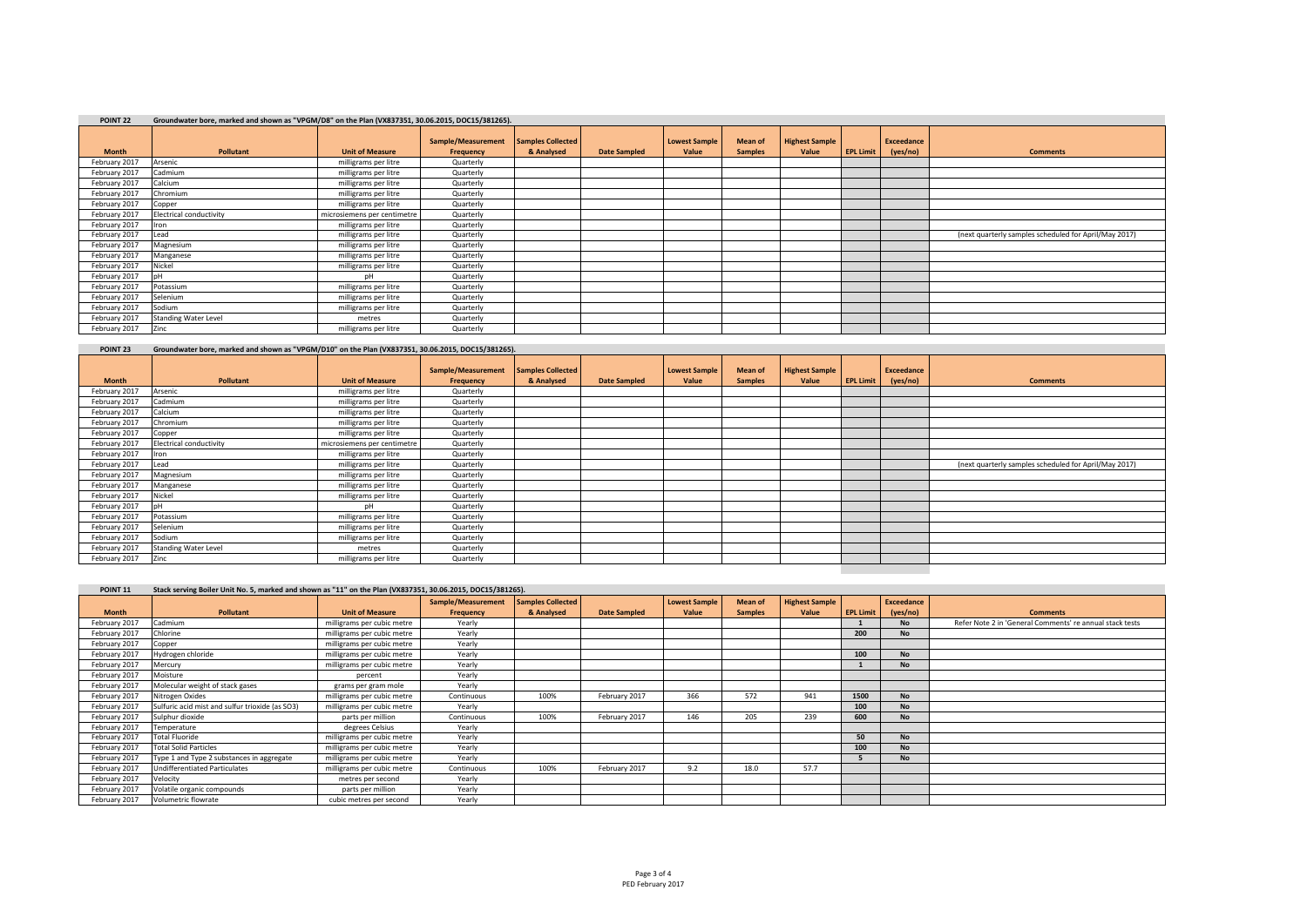| POINT <sub>22</sub> | Groundwater bore, marked and shown as "VPGM/D8" on the Plan (VX837351, 30.06.2015, DOC15/381265). |                             |                                 |                                        |                     |                               |                                  |                                |                  |                               |                                                       |  |
|---------------------|---------------------------------------------------------------------------------------------------|-----------------------------|---------------------------------|----------------------------------------|---------------------|-------------------------------|----------------------------------|--------------------------------|------------------|-------------------------------|-------------------------------------------------------|--|
| <b>Month</b>        | Pollutant                                                                                         | <b>Unit of Measure</b>      | Sample/Measurement<br>Frequency | <b>Samples Collected</b><br>& Analysed | <b>Date Sampled</b> | <b>Lowest Sample</b><br>Value | <b>Mean of</b><br><b>Samples</b> | <b>Highest Sample</b><br>Value | <b>EPL Limit</b> | <b>Exceedance</b><br>(yes/no) | <b>Comments</b>                                       |  |
| February 2017       | Arsenic                                                                                           | milligrams per litre        | Quarterly                       |                                        |                     |                               |                                  |                                |                  |                               |                                                       |  |
| February 2017       | Cadmium                                                                                           | milligrams per litre        | Quarterly                       |                                        |                     |                               |                                  |                                |                  |                               |                                                       |  |
| February 2017       | Calcium                                                                                           | milligrams per litre        | Quarterly                       |                                        |                     |                               |                                  |                                |                  |                               |                                                       |  |
| February 2017       | Chromium                                                                                          | milligrams per litre        | Quarterly                       |                                        |                     |                               |                                  |                                |                  |                               |                                                       |  |
| February 2017       | Copper                                                                                            | milligrams per litre        | Quarterly                       |                                        |                     |                               |                                  |                                |                  |                               |                                                       |  |
| February 2017       | <b>Electrical conductivity</b>                                                                    | microsiemens per centimetre | Quarterly                       |                                        |                     |                               |                                  |                                |                  |                               |                                                       |  |
| February 2017       | ron                                                                                               | milligrams per litre        | Quarterly                       |                                        |                     |                               |                                  |                                |                  |                               |                                                       |  |
| February 2017       | Lead                                                                                              | milligrams per litre        | Quarterly                       |                                        |                     |                               |                                  |                                |                  |                               | (next quarterly samples scheduled for April/May 2017) |  |
| February 2017       | Magnesium                                                                                         | milligrams per litre        | Quarterly                       |                                        |                     |                               |                                  |                                |                  |                               |                                                       |  |
| February 2017       | Manganese                                                                                         | milligrams per litre        | Quarterly                       |                                        |                     |                               |                                  |                                |                  |                               |                                                       |  |
| February 2017       | Nickel                                                                                            | milligrams per litre        | Quarterly                       |                                        |                     |                               |                                  |                                |                  |                               |                                                       |  |
| February 2017       |                                                                                                   | nH                          | Quarterly                       |                                        |                     |                               |                                  |                                |                  |                               |                                                       |  |
| February 2017       | Potassium                                                                                         | milligrams per litre        | Quarterly                       |                                        |                     |                               |                                  |                                |                  |                               |                                                       |  |
| February 2017       | Selenium                                                                                          | milligrams per litre        | Quarterly                       |                                        |                     |                               |                                  |                                |                  |                               |                                                       |  |
| February 2017       | Sodium                                                                                            | milligrams per litre        | Quarterly                       |                                        |                     |                               |                                  |                                |                  |                               |                                                       |  |
| February 2017       | <b>Standing Water Level</b>                                                                       | metres                      | Quarterly                       |                                        |                     |                               |                                  |                                |                  |                               |                                                       |  |
| February 2017       | Zinc                                                                                              | milligrams per litre        | Quarterly                       |                                        |                     |                               |                                  |                                |                  |                               |                                                       |  |

| POINT <sub>23</sub> | Groundwater bore, marked and shown as "VPGM/D10" on the Plan (VX837351, 30.06.2015, DOC15/381265). |                             |                                 |                                        |                     |                               |                                  |                                |                  |                               |                                                       |
|---------------------|----------------------------------------------------------------------------------------------------|-----------------------------|---------------------------------|----------------------------------------|---------------------|-------------------------------|----------------------------------|--------------------------------|------------------|-------------------------------|-------------------------------------------------------|
| <b>Month</b>        | Pollutant                                                                                          | <b>Unit of Measure</b>      | Sample/Measurement<br>Frequency | <b>Samples Collected</b><br>& Analysed | <b>Date Sampled</b> | <b>Lowest Sample</b><br>Value | <b>Mean of</b><br><b>Samples</b> | <b>Highest Sample</b><br>Value | <b>EPL Limit</b> | <b>Exceedance</b><br>(yes/no) | <b>Comments</b>                                       |
| February 2017       | Arsenic                                                                                            | milligrams per litre        | Quarterly                       |                                        |                     |                               |                                  |                                |                  |                               |                                                       |
| February 2017       | Cadmium                                                                                            | milligrams per litre        | Quarterly                       |                                        |                     |                               |                                  |                                |                  |                               |                                                       |
| February 2017       | Calcium                                                                                            | milligrams per litre        | Quarterly                       |                                        |                     |                               |                                  |                                |                  |                               |                                                       |
| February 2017       | Chromium                                                                                           | milligrams per litre        | Quarterly                       |                                        |                     |                               |                                  |                                |                  |                               |                                                       |
| February 2017       | Copper                                                                                             | milligrams per litre        | Quarterly                       |                                        |                     |                               |                                  |                                |                  |                               |                                                       |
| February 2017       | <b>Electrical conductivity</b>                                                                     | microsiemens per centimetre | Quarterly                       |                                        |                     |                               |                                  |                                |                  |                               |                                                       |
| February 2017       | Iron                                                                                               | milligrams per litre        | Quarterly                       |                                        |                     |                               |                                  |                                |                  |                               |                                                       |
| February 2017       | Lead                                                                                               | milligrams per litre        | Quarterly                       |                                        |                     |                               |                                  |                                |                  |                               | (next quarterly samples scheduled for April/May 2017) |
| February 2017       | Magnesium                                                                                          | milligrams per litre        | Quarterly                       |                                        |                     |                               |                                  |                                |                  |                               |                                                       |
| February 2017       | Manganese                                                                                          | milligrams per litre        | Quarterly                       |                                        |                     |                               |                                  |                                |                  |                               |                                                       |
| February 2017       | Nickel                                                                                             | milligrams per litre        | Quarterly                       |                                        |                     |                               |                                  |                                |                  |                               |                                                       |
| February 2017       |                                                                                                    | DH                          | Quarterly                       |                                        |                     |                               |                                  |                                |                  |                               |                                                       |
| February 2017       | Potassium                                                                                          | milligrams per litre        | Quarterly                       |                                        |                     |                               |                                  |                                |                  |                               |                                                       |
| February 2017       | Selenium                                                                                           | milligrams per litre        | Quarterly                       |                                        |                     |                               |                                  |                                |                  |                               |                                                       |
| February 2017       | Sodium                                                                                             | milligrams per litre        | Quarterly                       |                                        |                     |                               |                                  |                                |                  |                               |                                                       |
| February 2017       | <b>Standing Water Level</b>                                                                        | metres                      | Quarterly                       |                                        |                     |                               |                                  |                                |                  |                               |                                                       |
| February 2017       | Zinc                                                                                               | milligrams per litre        | Quarterly                       |                                        |                     |                               |                                  |                                |                  |                               |                                                       |
|                     |                                                                                                    |                             |                                 |                                        |                     |                               |                                  |                                |                  |                               |                                                       |

| <b>POINT 11</b> | Stack serving Boiler Unit No. 5, marked and shown as "11" on the Plan (VX837351, 30.06.2015, DOC15/381265). |  |  |  |  |
|-----------------|-------------------------------------------------------------------------------------------------------------|--|--|--|--|
|-----------------|-------------------------------------------------------------------------------------------------------------|--|--|--|--|

|               |                                                 |                            | Sample/Measurement | Samples Collected |                     | <b>Lowest Sample</b> | <b>Mean of</b> | <b>Highest Sample</b> |                  | <b>Exceedance</b> |                                                          |
|---------------|-------------------------------------------------|----------------------------|--------------------|-------------------|---------------------|----------------------|----------------|-----------------------|------------------|-------------------|----------------------------------------------------------|
| <b>Month</b>  | <b>Pollutant</b>                                | <b>Unit of Measure</b>     | Frequency          | & Analysed        | <b>Date Sampled</b> | Value                | <b>Samples</b> | Value                 | <b>EPL Limit</b> | (yes/no)          | <b>Comments</b>                                          |
| February 2017 | Cadmium                                         | milligrams per cubic metre | Yearly             |                   |                     |                      |                |                       |                  | <b>No</b>         | Refer Note 2 in 'General Comments' re annual stack tests |
| February 2017 | Chlorine                                        | milligrams per cubic metre | Yearly             |                   |                     |                      |                |                       | 200              | <b>No</b>         |                                                          |
| February 2017 | Copper                                          | milligrams per cubic metre | Yearly             |                   |                     |                      |                |                       |                  |                   |                                                          |
| February 2017 | Hydrogen chloride                               | milligrams per cubic metre | Yearly             |                   |                     |                      |                |                       | 100              | <b>No</b>         |                                                          |
| February 2017 | Mercury                                         | milligrams per cubic metre | Yearly             |                   |                     |                      |                |                       |                  | <b>No</b>         |                                                          |
| February 2017 | Moisture                                        | percent                    | Yearly             |                   |                     |                      |                |                       |                  |                   |                                                          |
| February 2017 | Molecular weight of stack gases                 | grams per gram mole        | Yearly             |                   |                     |                      |                |                       |                  |                   |                                                          |
| February 2017 | Nitrogen Oxides                                 | milligrams per cubic metre | Continuous         | 100%              | February 2017       | 366                  | 572            | 941                   | 1500             | <b>No</b>         |                                                          |
| February 2017 | Sulfuric acid mist and sulfur trioxide (as SO3) | milligrams per cubic metre | Yearly             |                   |                     |                      |                |                       | 100              | <b>No</b>         |                                                          |
| February 2017 | Sulphur dioxide                                 | parts per million          | Continuous         | 100%              | February 2017       | 146                  | 205            | 239                   | 600              | No                |                                                          |
| February 2017 | Temperature                                     | degrees Celsius            | Yearly             |                   |                     |                      |                |                       |                  |                   |                                                          |
| February 2017 | <b>Total Fluoride</b>                           | milligrams per cubic metre | Yearly             |                   |                     |                      |                |                       | 50               | <b>No</b>         |                                                          |
| February 2017 | <b>Total Solid Particles</b>                    | milligrams per cubic metre | Yearly             |                   |                     |                      |                |                       | 100              | <b>No</b>         |                                                          |
| February 2017 | Type 1 and Type 2 substances in aggregate       | milligrams per cubic metre | Yearly             |                   |                     |                      |                |                       |                  | <b>No</b>         |                                                          |
| February 2017 | <b>Undifferentiated Particulates</b>            | milligrams per cubic metre | Continuous         | 100%              | February 2017       | 9.2                  | 18.0           | 57.7                  |                  |                   |                                                          |
| February 2017 | Velocity                                        | metres per second          | Yearly             |                   |                     |                      |                |                       |                  |                   |                                                          |
| February 2017 | Volatile organic compounds                      | parts per million          | Yearly             |                   |                     |                      |                |                       |                  |                   |                                                          |
| February 2017 | Volumetric flowrate                             | cubic metres per second    | Yearly             |                   |                     |                      |                |                       |                  |                   |                                                          |